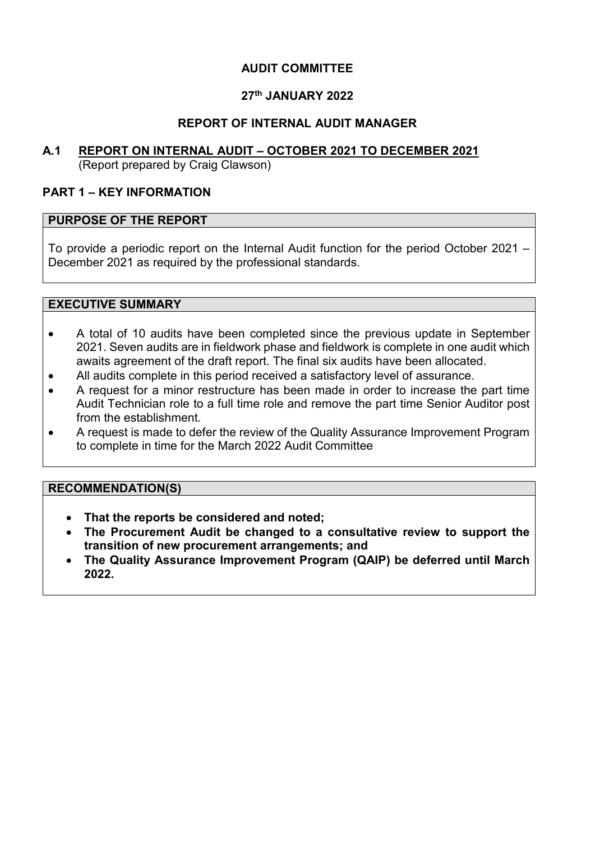## **AUDIT COMMITTEE**

# **27th JANUARY 2022**

## **REPORT OF INTERNAL AUDIT MANAGER**

# **A.1 REPORT ON INTERNAL AUDIT – OCTOBER 2021 TO DECEMBER 2021**

(Report prepared by Craig Clawson)

## **PART 1 – KEY INFORMATION**

#### **PURPOSE OF THE REPORT**

To provide a periodic report on the Internal Audit function for the period October 2021 – December 2021 as required by the professional standards.

#### **EXECUTIVE SUMMARY**

- A total of 10 audits have been completed since the previous update in September 2021. Seven audits are in fieldwork phase and fieldwork is complete in one audit which awaits agreement of the draft report. The final six audits have been allocated.
- All audits complete in this period received a satisfactory level of assurance.
- A request for a minor restructure has been made in order to increase the part time Audit Technician role to a full time role and remove the part time Senior Auditor post from the establishment.
- A request is made to defer the review of the Quality Assurance Improvement Program to complete in time for the March 2022 Audit Committee

#### **RECOMMENDATION(S)**

- **That the reports be considered and noted;**
- **The Procurement Audit be changed to a consultative review to support the transition of new procurement arrangements; and**
- **The Quality Assurance Improvement Program (QAIP) be deferred until March 2022.**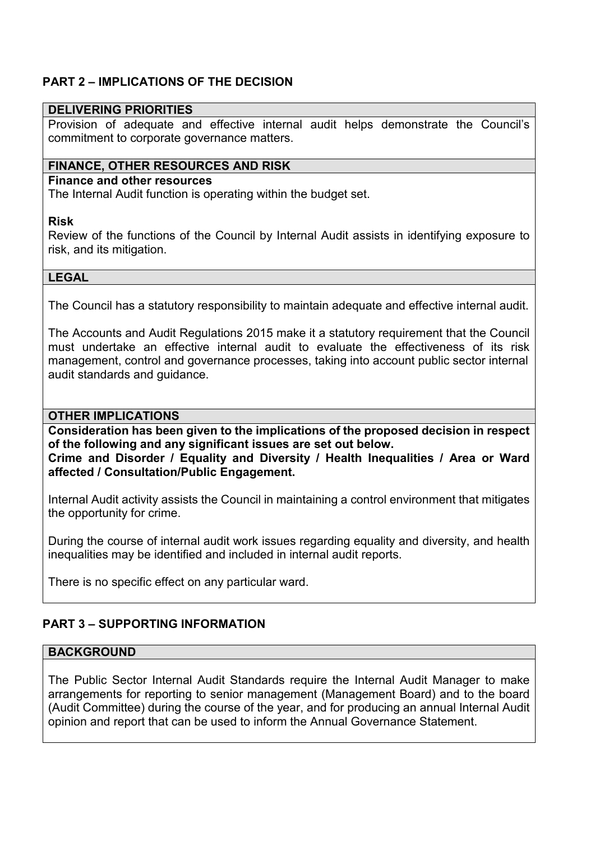# **PART 2 – IMPLICATIONS OF THE DECISION**

#### **DELIVERING PRIORITIES**

Provision of adequate and effective internal audit helps demonstrate the Council's commitment to corporate governance matters.

#### **FINANCE, OTHER RESOURCES AND RISK**

#### **Finance and other resources**

The Internal Audit function is operating within the budget set.

#### **Risk**

Review of the functions of the Council by Internal Audit assists in identifying exposure to risk, and its mitigation.

#### **LEGAL**

The Council has a statutory responsibility to maintain adequate and effective internal audit.

The Accounts and Audit Regulations 2015 make it a statutory requirement that the Council must undertake an effective internal audit to evaluate the effectiveness of its risk management, control and governance processes, taking into account public sector internal audit standards and guidance.

#### **OTHER IMPLICATIONS**

**Consideration has been given to the implications of the proposed decision in respect of the following and any significant issues are set out below.** 

**Crime and Disorder / Equality and Diversity / Health Inequalities / Area or Ward affected / Consultation/Public Engagement.** 

Internal Audit activity assists the Council in maintaining a control environment that mitigates the opportunity for crime.

During the course of internal audit work issues regarding equality and diversity, and health inequalities may be identified and included in internal audit reports.

There is no specific effect on any particular ward.

## **PART 3 – SUPPORTING INFORMATION**

## **BACKGROUND**

The Public Sector Internal Audit Standards require the Internal Audit Manager to make arrangements for reporting to senior management (Management Board) and to the board (Audit Committee) during the course of the year, and for producing an annual Internal Audit opinion and report that can be used to inform the Annual Governance Statement.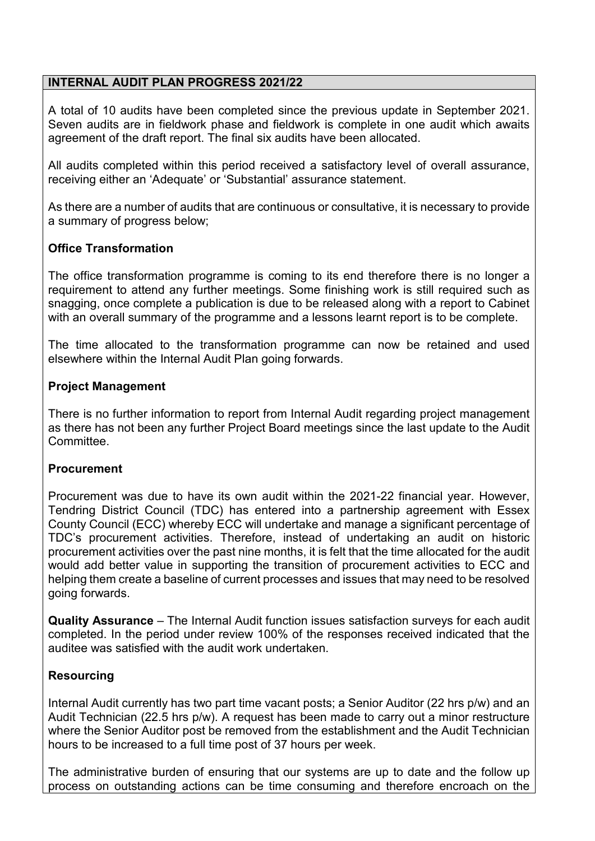## **INTERNAL AUDIT PLAN PROGRESS 2021/22**

A total of 10 audits have been completed since the previous update in September 2021. Seven audits are in fieldwork phase and fieldwork is complete in one audit which awaits agreement of the draft report. The final six audits have been allocated.

All audits completed within this period received a satisfactory level of overall assurance, receiving either an 'Adequate' or 'Substantial' assurance statement.

As there are a number of audits that are continuous or consultative, it is necessary to provide a summary of progress below;

## **Office Transformation**

The office transformation programme is coming to its end therefore there is no longer a requirement to attend any further meetings. Some finishing work is still required such as snagging, once complete a publication is due to be released along with a report to Cabinet with an overall summary of the programme and a lessons learnt report is to be complete.

The time allocated to the transformation programme can now be retained and used elsewhere within the Internal Audit Plan going forwards.

## **Project Management**

There is no further information to report from Internal Audit regarding project management as there has not been any further Project Board meetings since the last update to the Audit **Committee.** 

#### **Procurement**

Procurement was due to have its own audit within the 2021-22 financial year. However, Tendring District Council (TDC) has entered into a partnership agreement with Essex County Council (ECC) whereby ECC will undertake and manage a significant percentage of TDC's procurement activities. Therefore, instead of undertaking an audit on historic procurement activities over the past nine months, it is felt that the time allocated for the audit would add better value in supporting the transition of procurement activities to ECC and helping them create a baseline of current processes and issues that may need to be resolved going forwards.

**Quality Assurance** – The Internal Audit function issues satisfaction surveys for each audit completed. In the period under review 100% of the responses received indicated that the auditee was satisfied with the audit work undertaken.

## **Resourcing**

Internal Audit currently has two part time vacant posts; a Senior Auditor (22 hrs p/w) and an Audit Technician (22.5 hrs p/w). A request has been made to carry out a minor restructure where the Senior Auditor post be removed from the establishment and the Audit Technician hours to be increased to a full time post of 37 hours per week.

The administrative burden of ensuring that our systems are up to date and the follow up process on outstanding actions can be time consuming and therefore encroach on the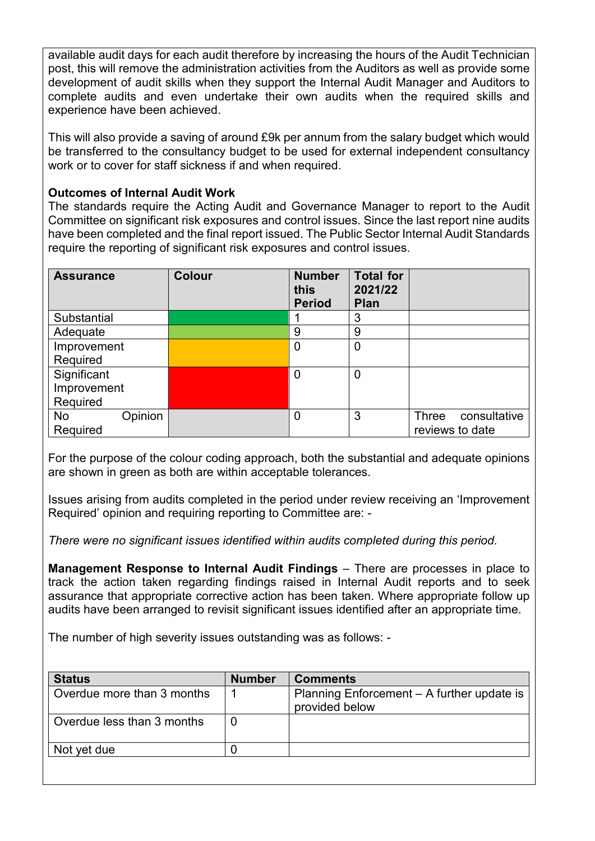available audit days for each audit therefore by increasing the hours of the Audit Technician post, this will remove the administration activities from the Auditors as well as provide some development of audit skills when they support the Internal Audit Manager and Auditors to complete audits and even undertake their own audits when the required skills and experience have been achieved.

This will also provide a saving of around £9k per annum from the salary budget which would be transferred to the consultancy budget to be used for external independent consultancy work or to cover for staff sickness if and when required.

## **Outcomes of Internal Audit Work**

The standards require the Acting Audit and Governance Manager to report to the Audit Committee on significant risk exposures and control issues. Since the last report nine audits have been completed and the final report issued. The Public Sector Internal Audit Standards require the reporting of significant risk exposures and control issues.

| <b>Assurance</b> | <b>Colour</b> | <b>Number</b><br>this<br><b>Period</b> | <b>Total for</b><br>2021/22<br><b>Plan</b> |                       |
|------------------|---------------|----------------------------------------|--------------------------------------------|-----------------------|
| Substantial      |               |                                        | 3                                          |                       |
| Adequate         |               | 9                                      | 9                                          |                       |
| Improvement      |               | $\mathbf 0$                            | $\mathbf 0$                                |                       |
| Required         |               |                                        |                                            |                       |
| Significant      |               | $\overline{0}$                         | $\mathbf 0$                                |                       |
| Improvement      |               |                                        |                                            |                       |
| Required         |               |                                        |                                            |                       |
| Opinion<br>No    |               | $\mathbf 0$                            | 3                                          | consultative<br>Three |
| Required         |               |                                        |                                            | reviews to date       |

For the purpose of the colour coding approach, both the substantial and adequate opinions are shown in green as both are within acceptable tolerances.

Issues arising from audits completed in the period under review receiving an 'Improvement Required' opinion and requiring reporting to Committee are: -

*There were no significant issues identified within audits completed during this period.* 

**Management Response to Internal Audit Findings** – There are processes in place to track the action taken regarding findings raised in Internal Audit reports and to seek assurance that appropriate corrective action has been taken. Where appropriate follow up audits have been arranged to revisit significant issues identified after an appropriate time.

The number of high severity issues outstanding was as follows: -

| <b>Status</b>              | <b>Number</b> | <b>Comments</b>                                              |
|----------------------------|---------------|--------------------------------------------------------------|
| Overdue more than 3 months |               | Planning Enforcement - A further update is<br>provided below |
| Overdue less than 3 months |               |                                                              |
| Not yet due                |               |                                                              |